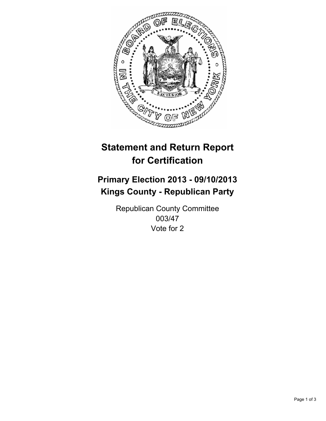

# **Statement and Return Report for Certification**

# **Primary Election 2013 - 09/10/2013 Kings County - Republican Party**

Republican County Committee 003/47 Vote for 2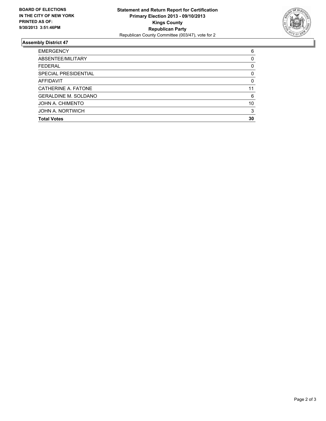

## **Assembly District 47**

| 6        |
|----------|
| 0        |
| 0        |
| 0        |
| $\Omega$ |
| 11       |
| 6        |
| 10       |
| 3        |
| 30       |
|          |